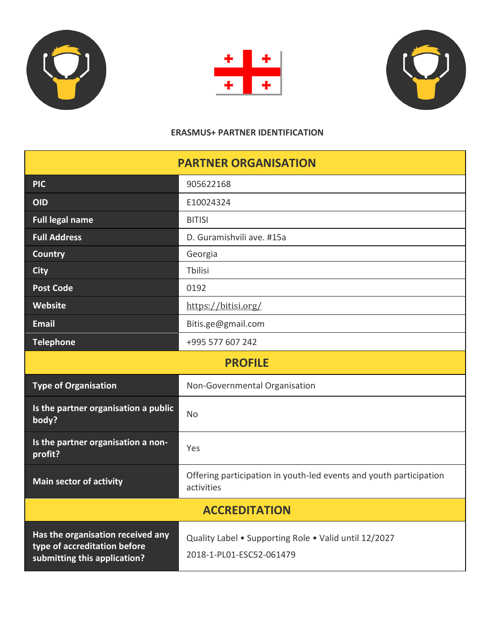





## **ERASMUS+ PARTNER IDENTIFICATION**

| <b>PARTNER ORGANISATION</b>                                                                       |                                                                                   |  |  |  |  |
|---------------------------------------------------------------------------------------------------|-----------------------------------------------------------------------------------|--|--|--|--|
| <b>PIC</b>                                                                                        | 905622168                                                                         |  |  |  |  |
| <b>OID</b>                                                                                        | E10024324                                                                         |  |  |  |  |
| <b>Full legal name</b>                                                                            | <b>BITISI</b>                                                                     |  |  |  |  |
| <b>Full Address</b>                                                                               | D. Guramishvili ave. #15a                                                         |  |  |  |  |
| <b>Country</b>                                                                                    | Georgia                                                                           |  |  |  |  |
| <b>City</b>                                                                                       | Tbilisi                                                                           |  |  |  |  |
| <b>Post Code</b>                                                                                  | 0192                                                                              |  |  |  |  |
| Website                                                                                           | https://bitisi.org/                                                               |  |  |  |  |
| <b>Email</b>                                                                                      | Bitis.ge@gmail.com                                                                |  |  |  |  |
| <b>Telephone</b>                                                                                  | +995 577 607 242                                                                  |  |  |  |  |
| <b>PROFILE</b>                                                                                    |                                                                                   |  |  |  |  |
| <b>Type of Organisation</b>                                                                       | Non-Governmental Organisation                                                     |  |  |  |  |
| Is the partner organisation a public<br>body?                                                     | <b>No</b>                                                                         |  |  |  |  |
| Is the partner organisation a non-<br>profit?                                                     | Yes                                                                               |  |  |  |  |
| <b>Main sector of activity</b>                                                                    | Offering participation in youth-led events and youth participation<br>activities  |  |  |  |  |
| <b>ACCREDITATION</b>                                                                              |                                                                                   |  |  |  |  |
| Has the organisation received any<br>type of accreditation before<br>submitting this application? | Quality Label • Supporting Role • Valid until 12/2027<br>2018-1-PL01-ESC52-061479 |  |  |  |  |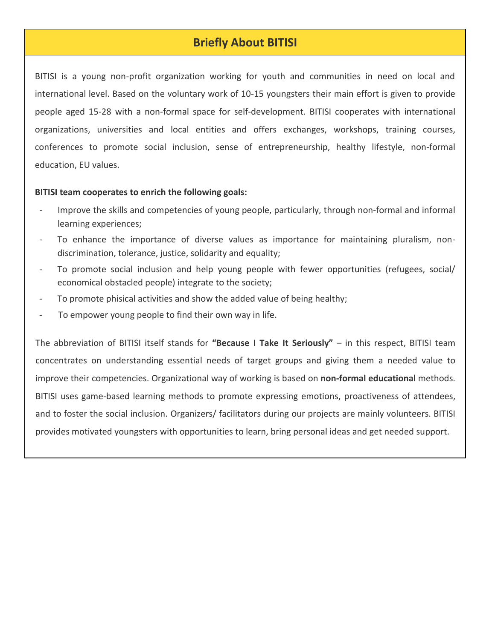# **Briefly About BITISI**

BITISI is a young non-profit organization working for youth and communities in need on local and international level. Based on the voluntary work of 10-15 youngsters their main effort is given to provide people aged 15-28 with a non-formal space for self-development. BITISI cooperates with international organizations, universities and local entities and offers exchanges, workshops, training courses, conferences to promote social inclusion, sense of entrepreneurship, healthy lifestyle, non-formal education, EU values.

### **BITISI team cooperates to enrich the following goals:**

- Improve the skills and competencies of young people, particularly, through non-formal and informal learning experiences;
- To enhance the importance of diverse values as importance for maintaining pluralism, nondiscrimination, tolerance, justice, solidarity and equality;
- To promote social inclusion and help young people with fewer opportunities (refugees, social/ economical obstacled people) integrate to the society;
- To promote phisical activities and show the added value of being healthy;
- To empower young people to find their own way in life.

The abbreviation of BITISI itself stands for **"Because I Take It Seriously"** – in this respect, BITISI team concentrates on understanding essential needs of target groups and giving them a needed value to improve their competencies. Organizational way of working is based on **non-formal educational** methods. BITISI uses game-based learning methods to promote expressing emotions, proactiveness of attendees, and to foster the social inclusion. Organizers/ facilitators during our projects are mainly volunteers. BITISI provides motivated youngsters with opportunities to learn, bring personal ideas and get needed support.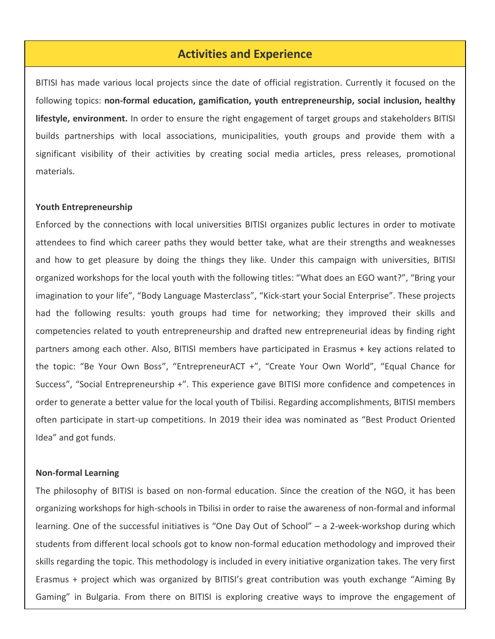## **Activities and Experience**

BITISI has made various local projects since the date of official registration. Currently it focused on the following topics: **non-formal education, gamification, youth entrepreneurship, social inclusion, healthy lifestyle, environment.** In order to ensure the right engagement of target groups and stakeholders BITISI builds partnerships with local associations, municipalities, youth groups and provide them with a significant visibility of their activities by creating social media articles, press releases, promotional materials.

#### **Youth Entrepreneurship**

Enforced by the connections with local universities BITISI organizes public lectures in order to motivate attendees to find which career paths they would better take, what are their strengths and weaknesses and how to get pleasure by doing the things they like. Under this campaign with universities, BITISI organized workshops for the local youth with the following titles: "What does an EGO want?", "Bring your imagination to your life", "Body Language Masterclass", "Kick-start your Social Enterprise". These projects had the following results: youth groups had time for networking; they improved their skills and competencies related to youth entrepreneurship and drafted new entrepreneurial ideas by finding right partners among each other. Also, BITISI members have participated in Erasmus + key actions related to the topic: "Be Your Own Boss", "EntrepreneurACT +", "Create Your Own World", "Equal Chance for Success", "Social Entrepreneurship +". This experience gave BITISI more confidence and competences in order to generate a better value for the local youth of Tbilisi. Regarding accomplishments, BITISI members often participate in start-up competitions. In 2019 their idea was nominated as "Best Product Oriented Idea" and got funds.

#### **Non-formal Learning**

The philosophy of BITISI is based on non-formal education. Since the creation of the NGO, it has been organizing workshops for high-schools in Tbilisi in order to raise the awareness of non-formal and informal learning. One of the successful initiatives is "One Day Out of School" – a 2-week-workshop during which students from different local schools got to know non-formal education methodology and improved their skills regarding the topic. This methodology is included in every initiative organization takes. The very first Erasmus + project which was organized by BITISI's great contribution was youth exchange "Aiming By Gaming" in Bulgaria. From there on BITISI is exploring creative ways to improve the engagement of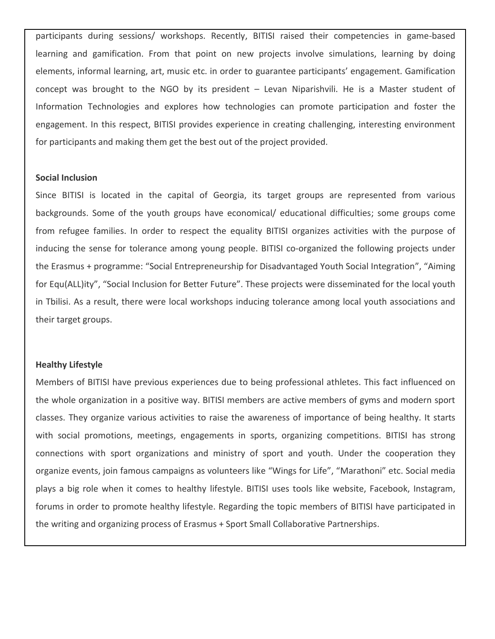participants during sessions/ workshops. Recently, BITISI raised their competencies in game-based learning and gamification. From that point on new projects involve simulations, learning by doing elements, informal learning, art, music etc. in order to guarantee participants' engagement. Gamification concept was brought to the NGO by its president – Levan Niparishvili. He is a Master student of Information Technologies and explores how technologies can promote participation and foster the engagement. In this respect, BITISI provides experience in creating challenging, interesting environment for participants and making them get the best out of the project provided.

### **Social Inclusion**

Since BITISI is located in the capital of Georgia, its target groups are represented from various backgrounds. Some of the youth groups have economical/ educational difficulties; some groups come from refugee families. In order to respect the equality BITISI organizes activities with the purpose of inducing the sense for tolerance among young people. BITISI co-organized the following projects under the Erasmus + programme: "Social Entrepreneurship for Disadvantaged Youth Social Integration", "Aiming for Equ(ALL)ity", "Social Inclusion for Better Future". These projects were disseminated for the local youth in Tbilisi. As a result, there were local workshops inducing tolerance among local youth associations and their target groups.

### **Healthy Lifestyle**

Members of BITISI have previous experiences due to being professional athletes. This fact influenced on the whole organization in a positive way. BITISI members are active members of gyms and modern sport classes. They organize various activities to raise the awareness of importance of being healthy. It starts with social promotions, meetings, engagements in sports, organizing competitions. BITISI has strong connections with sport organizations and ministry of sport and youth. Under the cooperation they organize events, join famous campaigns as volunteers like "Wings for Life", "Marathoni" etc. Social media plays a big role when it comes to healthy lifestyle. BITISI uses tools like website, Facebook, Instagram, forums in order to promote healthy lifestyle. Regarding the topic members of BITISI have participated in the writing and organizing process of Erasmus + Sport Small Collaborative Partnerships.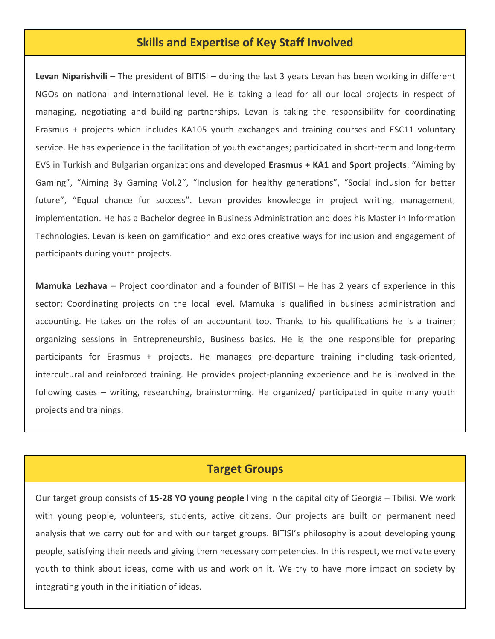## **Skills and Expertise of Key Staff Involved**

**Levan Niparishvili** – The president of BITISI – during the last 3 years Levan has been working in different NGOs on national and international level. He is taking a lead for all our local projects in respect of managing, negotiating and building partnerships. Levan is taking the responsibility for coordinating Erasmus + projects which includes KA105 youth exchanges and training courses and ESC11 voluntary service. He has experience in the facilitation of youth exchanges; participated in short-term and long-term EVS in Turkish and Bulgarian organizations and developed **Erasmus + KA1 and Sport projects**: "Aiming by Gaming", "Aiming By Gaming Vol.2", "Inclusion for healthy generations", "Social inclusion for better future", "Equal chance for success". Levan provides knowledge in project writing, management, implementation. He has a Bachelor degree in Business Administration and does his Master in Information Technologies. Levan is keen on gamification and explores creative ways for inclusion and engagement of participants during youth projects.

**Mamuka Lezhava** – Project coordinator and a founder of BITISI – He has 2 years of experience in this sector; Coordinating projects on the local level. Mamuka is qualified in business administration and accounting. He takes on the roles of an accountant too. Thanks to his qualifications he is a trainer; organizing sessions in Entrepreneurship, Business basics. He is the one responsible for preparing participants for Erasmus + projects. He manages pre-departure training including task-oriented, intercultural and reinforced training. He provides project-planning experience and he is involved in the following cases – writing, researching, brainstorming. He organized/ participated in quite many youth projects and trainings.

## **Target Groups**

Our target group consists of **15-28 YO young people** living in the capital city of Georgia – Tbilisi. We work with young people, volunteers, students, active citizens. Our projects are built on permanent need analysis that we carry out for and with our target groups. BITISI's philosophy is about developing young people, satisfying their needs and giving them necessary competencies. In this respect, we motivate every youth to think about ideas, come with us and work on it. We try to have more impact on society by integrating youth in the initiation of ideas.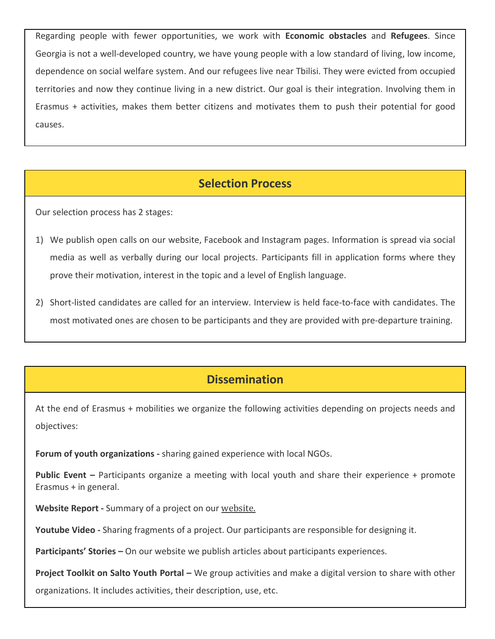Regarding people with fewer opportunities, we work with **Economic obstacles** and **Refugees**. Since Georgia is not a well-developed country, we have young people with a low standard of living, low income, dependence on social welfare system. And our refugees live near Tbilisi. They were evicted from occupied territories and now they continue living in a new district. Our goal is their integration. Involving them in Erasmus + activities, makes them better citizens and motivates them to push their potential for good causes.

# **Selection Process**

Our selection process has 2 stages:

- 1) We publish open calls on our website, Facebook and Instagram pages. Information is spread via social media as well as verbally during our local projects. Participants fill in application forms where they prove their motivation, interest in the topic and a level of English language.
- 2) Short-listed candidates are called for an interview. Interview is held face-to-face with candidates. The most motivated ones are chosen to be participants and they are provided with pre-departure training.

# **Dissemination**

At the end of Erasmus + mobilities we organize the following activities depending on projects needs and objectives:

**Forum of youth organizations -** sharing gained experience with local NGOs.

**Public Event –** Participants organize a meeting with local youth and share their experience + promote Erasmus + in general.

**Website Report -** Summary of a project on our [website.](https://bitisi.org/category/youth-exchange/)

**Youtube Video -** Sharing fragments of a project. Our participants are responsible for designing it.

**Participants' Stories –** On our website we publish articles about participants experiences.

**Project Toolkit on Salto Youth Portal –** We group activities and make a digital version to share with other

organizations. It includes activities, their description, use, etc.